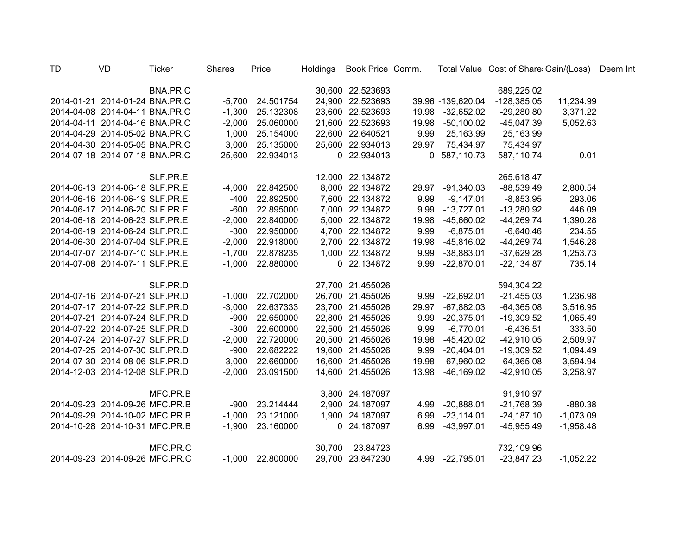| <b>TD</b> | <b>VD</b>                      | <b>Ticker</b> | Shares    | Price     | Holdings | Book Price Comm. |       |                   | Total Value Cost of Share: Gain/(Loss) |             | Deem Int |
|-----------|--------------------------------|---------------|-----------|-----------|----------|------------------|-------|-------------------|----------------------------------------|-------------|----------|
|           |                                | BNA.PR.C      |           |           |          | 30,600 22.523693 |       |                   | 689,225.02                             |             |          |
|           | 2014-01-21 2014-01-24 BNA.PR.C |               | $-5,700$  | 24.501754 |          | 24,900 22.523693 |       | 39.96 -139,620.04 | $-128,385.05$                          | 11,234.99   |          |
|           | 2014-04-08 2014-04-11 BNA.PR.C |               | $-1,300$  | 25.132308 |          | 23,600 22.523693 | 19.98 | $-32,652.02$      | $-29,280.80$                           | 3,371.22    |          |
|           | 2014-04-11 2014-04-16 BNA.PR.C |               | $-2,000$  | 25.060000 |          | 21,600 22.523693 | 19.98 | $-50,100.02$      | $-45,047.39$                           | 5,052.63    |          |
|           | 2014-04-29 2014-05-02 BNA.PR.C |               | 1,000     | 25.154000 |          | 22,600 22.640521 | 9.99  | 25,163.99         | 25,163.99                              |             |          |
|           | 2014-04-30 2014-05-05 BNA.PR.C |               | 3,000     | 25.135000 |          | 25,600 22.934013 | 29.97 | 75,434.97         | 75,434.97                              |             |          |
|           | 2014-07-18 2014-07-18 BNA.PR.C |               | $-25,600$ | 22.934013 |          | 0 22.934013      |       | $0 - 587, 110.73$ | $-587,110.74$                          | $-0.01$     |          |
|           |                                | SLF.PR.E      |           |           |          | 12,000 22.134872 |       |                   | 265,618.47                             |             |          |
|           | 2014-06-13 2014-06-18 SLF.PR.E |               | $-4,000$  | 22.842500 |          | 8,000 22.134872  | 29.97 | $-91,340.03$      | $-88,539.49$                           | 2,800.54    |          |
|           | 2014-06-16 2014-06-19 SLF.PR.E |               | $-400$    | 22.892500 |          | 7,600 22.134872  | 9.99  | $-9,147.01$       | $-8,853.95$                            | 293.06      |          |
|           | 2014-06-17 2014-06-20 SLF.PR.E |               | $-600$    | 22.895000 |          | 7,000 22.134872  | 9.99  | $-13,727.01$      | $-13,280.92$                           | 446.09      |          |
|           | 2014-06-18 2014-06-23 SLF.PR.E |               | $-2,000$  | 22.840000 |          | 5,000 22.134872  | 19.98 | $-45,660.02$      | $-44,269.74$                           | 1,390.28    |          |
|           | 2014-06-19 2014-06-24 SLF.PR.E |               | $-300$    | 22.950000 |          | 4,700 22.134872  | 9.99  | $-6,875.01$       | $-6,640.46$                            | 234.55      |          |
|           | 2014-06-30 2014-07-04 SLF.PR.E |               | $-2,000$  | 22.918000 |          | 2,700 22.134872  | 19.98 | $-45,816.02$      | $-44,269.74$                           | 1,546.28    |          |
|           | 2014-07-07 2014-07-10 SLF.PR.E |               | $-1,700$  | 22.878235 |          | 1,000 22.134872  | 9.99  | $-38,883.01$      | $-37,629.28$                           | 1,253.73    |          |
|           | 2014-07-08 2014-07-11 SLF.PR.E |               | $-1,000$  | 22.880000 |          | 0 22.134872      | 9.99  | $-22,870.01$      | $-22,134.87$                           | 735.14      |          |
|           |                                | SLF.PR.D      |           |           |          | 27,700 21.455026 |       |                   | 594,304.22                             |             |          |
|           | 2014-07-16 2014-07-21 SLF.PR.D |               | $-1,000$  | 22.702000 |          | 26,700 21.455026 | 9.99  | $-22,692.01$      | $-21,455.03$                           | 1,236.98    |          |
|           | 2014-07-17 2014-07-22 SLF.PR.D |               | $-3,000$  | 22.637333 |          | 23,700 21.455026 | 29.97 | $-67,882.03$      | $-64,365.08$                           | 3,516.95    |          |
|           | 2014-07-21 2014-07-24 SLF.PR.D |               | $-900$    | 22.650000 |          | 22,800 21.455026 | 9.99  | $-20,375.01$      | $-19,309.52$                           | 1,065.49    |          |
|           | 2014-07-22 2014-07-25 SLF.PR.D |               | $-300$    | 22.600000 |          | 22,500 21.455026 | 9.99  | $-6,770.01$       | $-6,436.51$                            | 333.50      |          |
|           | 2014-07-24 2014-07-27 SLF.PR.D |               | $-2,000$  | 22.720000 |          | 20,500 21.455026 | 19.98 | $-45,420.02$      | $-42,910.05$                           | 2,509.97    |          |
|           | 2014-07-25 2014-07-30 SLF.PR.D |               | $-900$    | 22.682222 |          | 19,600 21.455026 | 9.99  | $-20,404.01$      | $-19,309.52$                           | 1,094.49    |          |
|           | 2014-07-30 2014-08-06 SLF.PR.D |               | $-3,000$  | 22.660000 |          | 16,600 21.455026 | 19.98 | $-67,960.02$      | $-64,365.08$                           | 3,594.94    |          |
|           | 2014-12-03 2014-12-08 SLF.PR.D |               | $-2,000$  | 23.091500 |          | 14,600 21.455026 | 13.98 | $-46,169.02$      | $-42,910.05$                           | 3,258.97    |          |
|           |                                | MFC.PR.B      |           |           |          | 3,800 24.187097  |       |                   | 91,910.97                              |             |          |
|           | 2014-09-23 2014-09-26 MFC.PR.B |               | $-900$    | 23.214444 |          | 2,900 24.187097  | 4.99  | $-20,888.01$      | $-21,768.39$                           | $-880.38$   |          |
|           | 2014-09-29 2014-10-02 MFC.PR.B |               | $-1,000$  | 23.121000 |          | 1,900 24.187097  | 6.99  | $-23,114.01$      | $-24,187.10$                           | $-1,073.09$ |          |
|           | 2014-10-28 2014-10-31 MFC.PR.B |               | $-1,900$  | 23.160000 |          | 0 24.187097      | 6.99  | $-43,997.01$      | $-45,955.49$                           | $-1,958.48$ |          |
|           |                                | MFC.PR.C      |           |           | 30,700   | 23.84723         |       |                   | 732,109.96                             |             |          |
|           | 2014-09-23 2014-09-26 MFC.PR.C |               | $-1,000$  | 22.800000 |          | 29,700 23.847230 | 4.99  | $-22,795.01$      | $-23,847.23$                           | $-1,052.22$ |          |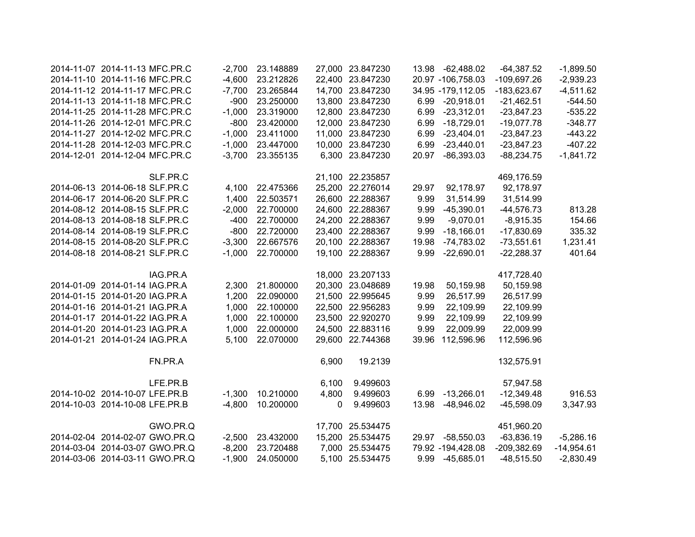| 2014-11-07 2014-11-13 MFC.PR.C |                                | $-2,700$ | 23.148889 |       | 27,000 23.847230 |       | 13.98 -62,488.02    | $-64,387.52$  | $-1,899.50$  |
|--------------------------------|--------------------------------|----------|-----------|-------|------------------|-------|---------------------|---------------|--------------|
| 2014-11-10 2014-11-16 MFC.PR.C |                                | $-4,600$ | 23.212826 |       | 22,400 23.847230 |       | 20.97 -106,758.03   | $-109,697.26$ | $-2,939.23$  |
| 2014-11-12 2014-11-17 MFC.PR.C |                                | $-7,700$ | 23.265844 |       | 14,700 23.847230 |       | 34.95 - 179, 112.05 | $-183,623.67$ | $-4,511.62$  |
| 2014-11-13 2014-11-18 MFC.PR.C |                                | $-900$   | 23.250000 |       | 13,800 23.847230 | 6.99  | $-20,918.01$        | $-21,462.51$  | $-544.50$    |
| 2014-11-25 2014-11-28 MFC.PR.C |                                | $-1,000$ | 23.319000 |       | 12,800 23.847230 | 6.99  | $-23,312.01$        | $-23,847.23$  | $-535.22$    |
| 2014-11-26 2014-12-01 MFC.PR.C |                                | $-800$   | 23.420000 |       | 12,000 23.847230 | 6.99  | $-18,729.01$        | $-19,077.78$  | $-348.77$    |
| 2014-11-27 2014-12-02 MFC.PR.C |                                | $-1,000$ | 23.411000 |       | 11,000 23.847230 | 6.99  | $-23,404.01$        | $-23,847.23$  | $-443.22$    |
| 2014-11-28 2014-12-03 MFC.PR.C |                                | $-1,000$ | 23.447000 |       | 10,000 23.847230 | 6.99  | $-23,440.01$        | $-23,847.23$  | $-407.22$    |
| 2014-12-01 2014-12-04 MFC.PR.C |                                | $-3,700$ | 23.355135 |       | 6,300 23.847230  | 20.97 | $-86,393.03$        | $-88,234.75$  | $-1,841.72$  |
|                                | SLF.PR.C                       |          |           |       | 21,100 22.235857 |       |                     | 469,176.59    |              |
| 2014-06-13 2014-06-18 SLF.PR.C |                                | 4,100    | 22.475366 |       | 25,200 22.276014 | 29.97 | 92,178.97           | 92,178.97     |              |
| 2014-06-17 2014-06-20 SLF.PR.C |                                | 1,400    | 22.503571 |       | 26,600 22.288367 | 9.99  | 31,514.99           | 31,514.99     |              |
| 2014-08-12 2014-08-15 SLF.PR.C |                                | $-2,000$ | 22.700000 |       | 24,600 22.288367 | 9.99  | $-45,390.01$        | $-44,576.73$  | 813.28       |
| 2014-08-13 2014-08-18 SLF.PR.C |                                | $-400$   | 22.700000 |       | 24,200 22.288367 | 9.99  | $-9,070.01$         | $-8,915.35$   | 154.66       |
| 2014-08-14 2014-08-19 SLF.PR.C |                                | $-800$   | 22.720000 |       | 23,400 22.288367 | 9.99  | $-18,166.01$        | $-17,830.69$  | 335.32       |
| 2014-08-15 2014-08-20 SLF.PR.C |                                | $-3,300$ | 22.667576 |       | 20,100 22.288367 | 19.98 | $-74,783.02$        | $-73,551.61$  | 1,231.41     |
| 2014-08-18 2014-08-21 SLF.PR.C |                                | $-1,000$ | 22.700000 |       | 19,100 22.288367 | 9.99  | $-22,690.01$        | $-22,288.37$  | 401.64       |
|                                | IAG.PR.A                       |          |           |       | 18,000 23.207133 |       |                     | 417,728.40    |              |
| 2014-01-09 2014-01-14 IAG.PR.A |                                | 2,300    | 21.800000 |       | 20,300 23.048689 | 19.98 | 50,159.98           | 50,159.98     |              |
| 2014-01-15 2014-01-20 IAG.PR.A |                                | 1,200    | 22.090000 |       | 21,500 22.995645 | 9.99  | 26,517.99           | 26,517.99     |              |
| 2014-01-16 2014-01-21 IAG.PR.A |                                | 1,000    | 22.100000 |       | 22,500 22.956283 | 9.99  | 22,109.99           | 22,109.99     |              |
| 2014-01-17 2014-01-22 IAG.PR.A |                                | 1,000    | 22.100000 |       | 23,500 22.920270 | 9.99  | 22,109.99           | 22,109.99     |              |
| 2014-01-20 2014-01-23 IAG.PR.A |                                | 1,000    | 22.000000 |       | 24,500 22.883116 | 9.99  | 22,009.99           | 22,009.99     |              |
| 2014-01-21 2014-01-24 IAG.PR.A |                                | 5,100    | 22.070000 |       | 29,600 22.744368 | 39.96 | 112,596.96          | 112,596.96    |              |
|                                | FN.PR.A                        |          |           | 6,900 | 19.2139          |       |                     | 132,575.91    |              |
|                                | LFE.PR.B                       |          |           | 6,100 | 9.499603         |       |                     | 57,947.58     |              |
| 2014-10-02 2014-10-07 LFE.PR.B |                                | $-1,300$ | 10.210000 | 4,800 | 9.499603         |       | 6.99 -13,266.01     | $-12,349.48$  | 916.53       |
| 2014-10-03 2014-10-08 LFE.PR.B |                                | $-4,800$ | 10.200000 | 0     | 9.499603         | 13.98 | -48,946.02          | $-45,598.09$  | 3,347.93     |
|                                | GWO.PR.Q                       |          |           |       | 17,700 25.534475 |       |                     | 451,960.20    |              |
|                                | 2014-02-04 2014-02-07 GWO.PR.Q | $-2,500$ | 23.432000 |       | 15,200 25.534475 | 29.97 | $-58,550.03$        | $-63,836.19$  | $-5,286.16$  |
|                                | 2014-03-04 2014-03-07 GWO.PR.Q | $-8,200$ | 23.720488 |       | 7,000 25.534475  |       | 79.92 -194,428.08   | $-209,382.69$ | $-14,954.61$ |
| 2014-03-06 2014-03-11 GWO.PR.Q |                                | $-1,900$ | 24.050000 |       | 5,100 25.534475  |       | 9.99 -45,685.01     | $-48,515.50$  | $-2,830.49$  |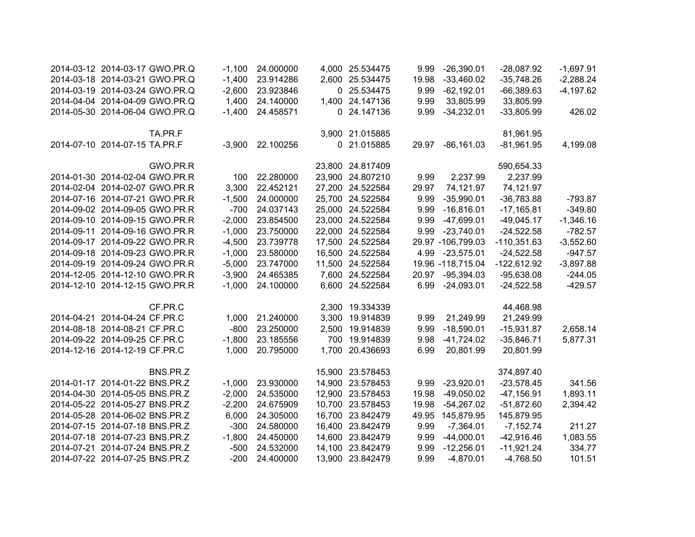| 2014-03-12 2014-03-17 GWO.PR.Q |                                | $-1,100$ | 24.000000 |        | 4,000 25.534475  | 9.99  | $-26,390.01$      | $-28,087.92$  | $-1,697.91$ |
|--------------------------------|--------------------------------|----------|-----------|--------|------------------|-------|-------------------|---------------|-------------|
|                                | 2014-03-18 2014-03-21 GWO.PR.Q | $-1,400$ | 23.914286 |        | 2,600 25.534475  | 19.98 | $-33,460.02$      | $-35,748.26$  | $-2,288.24$ |
|                                | 2014-03-19 2014-03-24 GWO.PR.Q | $-2,600$ | 23.923846 |        | 0 25.534475      | 9.99  | $-62,192.01$      | $-66,389.63$  | $-4,197.62$ |
|                                | 2014-04-04 2014-04-09 GWO.PR.Q | 1,400    | 24.140000 |        | 1,400 24.147136  | 9.99  | 33,805.99         | 33,805.99     |             |
|                                | 2014-05-30 2014-06-04 GWO.PR.Q | $-1,400$ | 24.458571 |        | 0 24.147136      | 9.99  | $-34,232.01$      | $-33,805.99$  | 426.02      |
|                                | TA.PR.F                        |          |           |        | 3,900 21.015885  |       |                   | 81,961.95     |             |
| 2014-07-10 2014-07-15 TA.PR.F  |                                | $-3,900$ | 22.100256 |        | 0 21.015885      | 29.97 | $-86,161.03$      | $-81,961.95$  | 4,199.08    |
|                                | GWO.PR.R                       |          |           |        | 23,800 24.817409 |       |                   | 590,654.33    |             |
| 2014-01-30 2014-02-04 GWO.PR.R |                                | 100      | 22.280000 |        | 23,900 24.807210 | 9.99  | 2,237.99          | 2,237.99      |             |
| 2014-02-04 2014-02-07 GWO.PR.R |                                | 3,300    | 22.452121 |        | 27,200 24.522584 | 29.97 | 74,121.97         | 74,121.97     |             |
| 2014-07-16 2014-07-21 GWO.PR.R |                                | $-1,500$ | 24.000000 |        | 25,700 24.522584 | 9.99  | $-35,990.01$      | $-36,783.88$  | $-793.87$   |
| 2014-09-02 2014-09-05 GWO.PR.R |                                | $-700$   | 24.037143 |        | 25,000 24.522584 | 9.99  | $-16,816.01$      | $-17,165.81$  | $-349.80$   |
| 2014-09-10 2014-09-15 GWO.PR.R |                                | $-2,000$ | 23.854500 |        | 23,000 24.522584 | 9.99  | $-47,699.01$      | $-49,045.17$  | $-1,346.16$ |
| 2014-09-11 2014-09-16 GWO.PR.R |                                | $-1,000$ | 23.750000 |        | 22,000 24.522584 | 9.99  | $-23,740.01$      | $-24,522.58$  | $-782.57$   |
| 2014-09-17 2014-09-22 GWO.PR.R |                                | $-4,500$ | 23.739778 |        | 17,500 24.522584 |       | 29.97 -106,799.03 | $-110,351.63$ | $-3,552.60$ |
| 2014-09-18 2014-09-23 GWO.PR.R |                                | $-1,000$ | 23.580000 |        | 16,500 24.522584 |       | 4.99 -23,575.01   | $-24,522.58$  | $-947.57$   |
| 2014-09-19 2014-09-24 GWO.PR.R |                                | $-5,000$ | 23.747000 |        | 11,500 24.522584 |       | 19.96 -118,715.04 | $-122,612.92$ | $-3,897.88$ |
| 2014-12-05 2014-12-10 GWO.PR.R |                                | $-3,900$ | 24.465385 |        | 7,600 24.522584  | 20.97 | $-95,394.03$      | $-95,638.08$  | $-244.05$   |
| 2014-12-10 2014-12-15 GWO.PR.R |                                | $-1,000$ | 24.100000 |        | 6,600 24.522584  | 6.99  | $-24,093.01$      | $-24,522.58$  | $-429.57$   |
|                                | CF.PR.C                        |          |           |        | 2,300 19.334339  |       |                   | 44,468.98     |             |
| 2014-04-21 2014-04-24 CF.PR.C  |                                | 1,000    | 21.240000 | 3,300  | 19.914839        | 9.99  | 21,249.99         | 21,249.99     |             |
| 2014-08-18 2014-08-21 CF.PR.C  |                                | $-800$   | 23.250000 | 2,500  | 19.914839        | 9.99  | $-18,590.01$      | $-15,931.87$  | 2,658.14    |
| 2014-09-22 2014-09-25 CF.PR.C  |                                | $-1,800$ | 23.185556 | 700    | 19.914839        | 9.98  | $-41,724.02$      | $-35,846.71$  | 5,877.31    |
| 2014-12-16 2014-12-19 CF.PR.C  |                                | 1,000    | 20.795000 | 1,700  | 20.436693        | 6.99  | 20,801.99         | 20,801.99     |             |
|                                | BNS.PR.Z                       |          |           |        | 15,900 23.578453 |       |                   | 374,897.40    |             |
| 2014-01-17 2014-01-22 BNS.PR.Z |                                | $-1,000$ | 23.930000 | 14,900 | 23.578453        | 9.99  | $-23,920.01$      | $-23,578.45$  | 341.56      |
| 2014-04-30 2014-05-05 BNS.PR.Z |                                | $-2,000$ | 24.535000 | 12,900 | 23.578453        | 19.98 | $-49,050.02$      | $-47,156.91$  | 1,893.11    |
| 2014-05-22 2014-05-27 BNS.PR.Z |                                | $-2,200$ | 24.675909 | 10,700 | 23.578453        | 19.98 | $-54,267.02$      | $-51,872.60$  | 2,394.42    |
| 2014-05-28 2014-06-02 BNS.PR.Z |                                | 6,000    | 24.305000 | 16,700 | 23.842479        | 49.95 | 145,879.95        | 145,879.95    |             |
| 2014-07-15 2014-07-18 BNS.PR.Z |                                | $-300$   | 24.580000 | 16,400 | 23.842479        | 9.99  | $-7,364.01$       | $-7,152.74$   | 211.27      |
| 2014-07-18 2014-07-23 BNS.PR.Z |                                | $-1,800$ | 24.450000 | 14,600 | 23.842479        | 9.99  | $-44,000.01$      | $-42,916.46$  | 1,083.55    |
| 2014-07-21 2014-07-24 BNS.PR.Z |                                | $-500$   | 24.532000 | 14,100 | 23.842479        | 9.99  | $-12,256.01$      | $-11,921.24$  | 334.77      |
| 2014-07-22 2014-07-25 BNS.PR.Z |                                | $-200$   | 24.400000 | 13,900 | 23.842479        | 9.99  | $-4,870.01$       | $-4,768.50$   | 101.51      |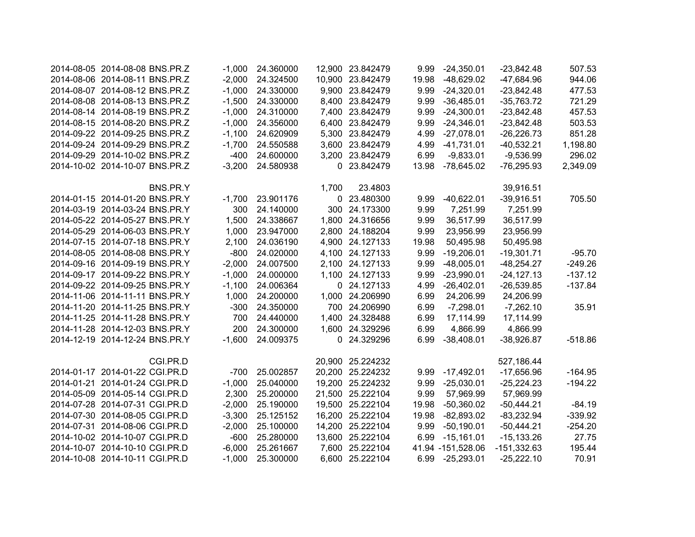| 2014-08-05 2014-08-08 BNS.PR.Z |          | $-1.000$ | 24.360000 |        | 12,900 23.842479 | 9.99  | $-24,350.01$      | $-23,842.48$  | 507.53    |
|--------------------------------|----------|----------|-----------|--------|------------------|-------|-------------------|---------------|-----------|
| 2014-08-06 2014-08-11 BNS.PR.Z |          | $-2,000$ | 24.324500 |        | 10,900 23.842479 | 19.98 | $-48,629.02$      | $-47,684.96$  | 944.06    |
| 2014-08-07 2014-08-12 BNS.PR.Z |          | $-1,000$ | 24.330000 |        | 9,900 23.842479  | 9.99  | $-24,320.01$      | $-23,842.48$  | 477.53    |
| 2014-08-08 2014-08-13 BNS.PR.Z |          | $-1,500$ | 24.330000 |        | 8,400 23.842479  | 9.99  | $-36,485.01$      | $-35,763.72$  | 721.29    |
| 2014-08-14 2014-08-19 BNS.PR.Z |          | $-1,000$ | 24.310000 |        | 7,400 23.842479  | 9.99  | $-24,300.01$      | $-23,842.48$  | 457.53    |
| 2014-08-15 2014-08-20 BNS.PR.Z |          | $-1,000$ | 24.356000 |        | 6,400 23.842479  | 9.99  | $-24,346.01$      | $-23,842.48$  | 503.53    |
| 2014-09-22 2014-09-25 BNS.PR.Z |          | $-1,100$ | 24.620909 |        | 5,300 23.842479  | 4.99  | $-27,078.01$      | $-26,226.73$  | 851.28    |
| 2014-09-24 2014-09-29 BNS.PR.Z |          | $-1,700$ | 24.550588 |        | 3,600 23.842479  | 4.99  | $-41,731.01$      | $-40,532.21$  | 1,198.80  |
| 2014-09-29 2014-10-02 BNS.PR.Z |          | $-400$   | 24.600000 |        | 3,200 23.842479  | 6.99  | $-9,833.01$       | $-9,536.99$   | 296.02    |
| 2014-10-02 2014-10-07 BNS.PR.Z |          | $-3,200$ | 24.580938 |        | 0 23.842479      | 13.98 | -78,645.02        | $-76,295.93$  | 2,349.09  |
|                                | BNS.PR.Y |          |           | 1,700  | 23.4803          |       |                   | 39,916.51     |           |
| 2014-01-15 2014-01-20 BNS.PR.Y |          | $-1,700$ | 23.901176 |        | 0 23.480300      | 9.99  | $-40,622.01$      | $-39,916.51$  | 705.50    |
| 2014-03-19 2014-03-24 BNS.PR.Y |          | 300      | 24.140000 |        | 300 24.173300    | 9.99  | 7,251.99          | 7,251.99      |           |
| 2014-05-22 2014-05-27 BNS.PR.Y |          | 1,500    | 24.338667 |        | 1,800 24.316656  | 9.99  | 36,517.99         | 36,517.99     |           |
| 2014-05-29 2014-06-03 BNS.PR.Y |          | 1,000    | 23.947000 |        | 2,800 24.188204  | 9.99  | 23,956.99         | 23,956.99     |           |
| 2014-07-15 2014-07-18 BNS.PR.Y |          | 2,100    | 24.036190 |        | 4,900 24.127133  | 19.98 | 50,495.98         | 50,495.98     |           |
| 2014-08-05 2014-08-08 BNS.PR.Y |          | $-800$   | 24.020000 |        | 4,100 24.127133  | 9.99  | $-19,206.01$      | $-19,301.71$  | $-95.70$  |
| 2014-09-16 2014-09-19 BNS.PR.Y |          | $-2,000$ | 24.007500 |        | 2,100 24.127133  | 9.99  | $-48,005.01$      | $-48,254.27$  | $-249.26$ |
| 2014-09-17 2014-09-22 BNS.PR.Y |          | $-1,000$ | 24.000000 |        | 1,100 24.127133  | 9.99  | $-23,990.01$      | $-24, 127.13$ | $-137.12$ |
| 2014-09-22 2014-09-25 BNS.PR.Y |          | $-1,100$ | 24.006364 |        | 0 24.127133      | 4.99  | $-26,402.01$      | $-26,539.85$  | $-137.84$ |
| 2014-11-06 2014-11-11 BNS.PR.Y |          | 1,000    | 24.200000 |        | 1,000 24.206990  | 6.99  | 24,206.99         | 24,206.99     |           |
| 2014-11-20 2014-11-25 BNS.PR.Y |          | $-300$   | 24.350000 |        | 700 24.206990    | 6.99  | $-7,298.01$       | $-7,262.10$   | 35.91     |
| 2014-11-25 2014-11-28 BNS.PR.Y |          | 700      | 24.440000 | 1,400  | 24.328488        | 6.99  | 17,114.99         | 17,114.99     |           |
| 2014-11-28 2014-12-03 BNS.PR.Y |          | 200      | 24.300000 |        | 1,600 24.329296  | 6.99  | 4,866.99          | 4,866.99      |           |
| 2014-12-19 2014-12-24 BNS.PR.Y |          | $-1,600$ | 24.009375 |        | 0 24.329296      | 6.99  | $-38,408.01$      | $-38,926.87$  | $-518.86$ |
|                                | CGI.PR.D |          |           |        | 20,900 25.224232 |       |                   | 527,186.44    |           |
| 2014-01-17 2014-01-22 CGI.PR.D |          | $-700$   | 25.002857 |        | 20,200 25.224232 | 9.99  | $-17,492.01$      | $-17,656.96$  | $-164.95$ |
| 2014-01-21 2014-01-24 CGI.PR.D |          | $-1,000$ | 25.040000 |        | 19,200 25.224232 | 9.99  | $-25,030.01$      | $-25,224.23$  | $-194.22$ |
| 2014-05-09 2014-05-14 CGI.PR.D |          | 2,300    | 25.200000 | 21,500 | 25.222104        | 9.99  | 57,969.99         | 57,969.99     |           |
| 2014-07-28 2014-07-31 CGI.PR.D |          | $-2,000$ | 25.190000 |        | 19,500 25.222104 | 19.98 | $-50,360.02$      | $-50,444.21$  | $-84.19$  |
| 2014-07-30 2014-08-05 CGI.PR.D |          | $-3,300$ | 25.125152 | 16,200 | 25.222104        | 19.98 | $-82,893.02$      | $-83,232.94$  | $-339.92$ |
| 2014-07-31 2014-08-06 CGI.PR.D |          | $-2,000$ | 25.100000 | 14,200 | 25.222104        | 9.99  | $-50,190.01$      | $-50,444.21$  | $-254.20$ |
| 2014-10-02 2014-10-07 CGI.PR.D |          | $-600$   | 25.280000 |        | 13,600 25.222104 | 6.99  | $-15,161.01$      | $-15, 133.26$ | 27.75     |
| 2014-10-07 2014-10-10 CGI.PR.D |          | $-6,000$ | 25.261667 |        | 7,600 25.222104  |       | 41.94 -151,528.06 | $-151,332.63$ | 195.44    |
| 2014-10-08 2014-10-11 CGI.PR.D |          | $-1,000$ | 25.300000 |        | 6,600 25.222104  |       | 6.99 -25,293.01   | $-25,222.10$  | 70.91     |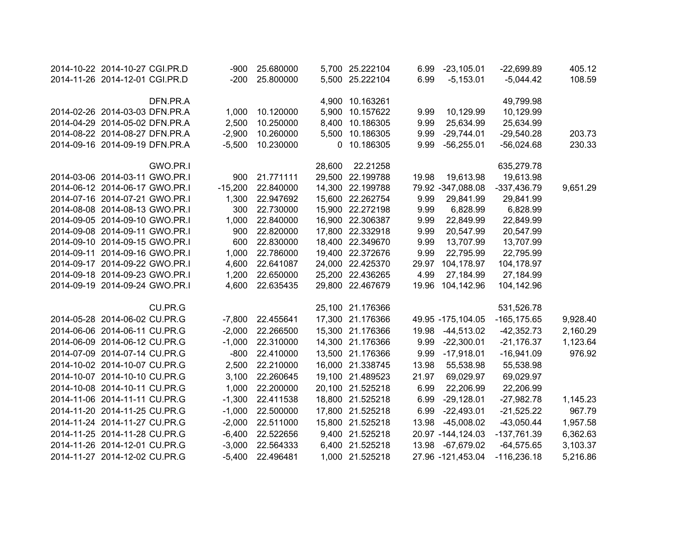| 2014-10-22 2014-10-27 CGI.PR.D | $-900$    | 25.680000 |        | 5,700 25.222104  | 6.99  | $-23,105.01$      | $-22,699.89$   | 405.12   |
|--------------------------------|-----------|-----------|--------|------------------|-------|-------------------|----------------|----------|
| 2014-11-26 2014-12-01 CGI.PR.D | $-200$    | 25.800000 |        | 5,500 25.222104  | 6.99  | $-5,153.01$       | $-5,044.42$    | 108.59   |
|                                |           |           |        |                  |       |                   |                |          |
| DFN.PR.A                       |           |           |        | 4,900 10.163261  |       |                   | 49,799.98      |          |
| 2014-02-26 2014-03-03 DFN.PR.A | 1,000     | 10.120000 |        | 5,900 10.157622  | 9.99  | 10,129.99         | 10,129.99      |          |
| 2014-04-29 2014-05-02 DFN.PR.A | 2,500     | 10.250000 |        | 8,400 10.186305  | 9.99  | 25,634.99         | 25,634.99      |          |
| 2014-08-22 2014-08-27 DFN.PR.A | $-2,900$  | 10.260000 |        | 5,500 10.186305  | 9.99  | $-29,744.01$      | $-29,540.28$   | 203.73   |
| 2014-09-16 2014-09-19 DFN.PR.A | $-5,500$  | 10.230000 |        | 0 10.186305      | 9.99  | $-56,255.01$      | $-56,024.68$   | 230.33   |
|                                |           |           |        |                  |       |                   |                |          |
| GWO.PR.I                       |           |           | 28,600 | 22.21258         |       |                   | 635,279.78     |          |
| 2014-03-06 2014-03-11 GWO.PR.I | 900       | 21.771111 |        | 29,500 22.199788 | 19.98 | 19,613.98         | 19,613.98      |          |
| 2014-06-12 2014-06-17 GWO.PR.I | $-15,200$ | 22.840000 |        | 14,300 22.199788 |       | 79.92 -347,088.08 | $-337,436.79$  | 9,651.29 |
| 2014-07-16 2014-07-21 GWO.PR.I | 1,300     | 22.947692 |        | 15,600 22.262754 | 9.99  | 29,841.99         | 29,841.99      |          |
| 2014-08-08 2014-08-13 GWO.PR.I | 300       | 22.730000 |        | 15,900 22.272198 | 9.99  | 6,828.99          | 6,828.99       |          |
| 2014-09-05 2014-09-10 GWO.PR.I | 1,000     | 22.840000 |        | 16,900 22.306387 | 9.99  | 22,849.99         | 22,849.99      |          |
| 2014-09-08 2014-09-11 GWO.PR.I | 900       | 22.820000 |        | 17,800 22.332918 | 9.99  | 20,547.99         | 20,547.99      |          |
| 2014-09-10 2014-09-15 GWO.PR.I | 600       | 22.830000 |        | 18,400 22.349670 | 9.99  | 13,707.99         | 13,707.99      |          |
| 2014-09-11 2014-09-16 GWO.PR.I | 1,000     | 22.786000 |        | 19,400 22.372676 | 9.99  | 22,795.99         | 22,795.99      |          |
| 2014-09-17 2014-09-22 GWO.PR.I | 4,600     | 22.641087 |        | 24,000 22.425370 | 29.97 | 104,178.97        | 104,178.97     |          |
| 2014-09-18 2014-09-23 GWO.PR.I | 1,200     | 22.650000 |        | 25,200 22.436265 | 4.99  | 27,184.99         | 27,184.99      |          |
| 2014-09-19 2014-09-24 GWO.PR.I | 4,600     | 22.635435 |        | 29,800 22.467679 | 19.96 | 104,142.96        | 104,142.96     |          |
|                                |           |           |        |                  |       |                   |                |          |
| CU.PR.G                        |           |           |        | 25,100 21.176366 |       |                   | 531,526.78     |          |
| 2014-05-28 2014-06-02 CU.PR.G  | $-7,800$  | 22.455641 |        | 17,300 21.176366 |       | 49.95 -175,104.05 | $-165, 175.65$ | 9,928.40 |
| 2014-06-06 2014-06-11 CU.PR.G  | $-2,000$  | 22.266500 |        | 15,300 21.176366 | 19.98 | $-44,513.02$      | $-42,352.73$   | 2,160.29 |
| 2014-06-09 2014-06-12 CU.PR.G  | $-1,000$  | 22.310000 |        | 14,300 21.176366 | 9.99  | $-22,300.01$      | $-21,176.37$   | 1,123.64 |
| 2014-07-09 2014-07-14 CU.PR.G  | $-800$    | 22.410000 |        | 13,500 21.176366 | 9.99  | $-17,918.01$      | $-16,941.09$   | 976.92   |
| 2014-10-02 2014-10-07 CU.PR.G  | 2,500     | 22.210000 |        | 16,000 21.338745 | 13.98 | 55,538.98         | 55,538.98      |          |
| 2014-10-07 2014-10-10 CU.PR.G  | 3,100     | 22.260645 |        | 19,100 21.489523 | 21.97 | 69,029.97         | 69,029.97      |          |
| 2014-10-08 2014-10-11 CU.PR.G  | 1,000     | 22.200000 |        | 20,100 21.525218 | 6.99  | 22,206.99         | 22,206.99      |          |
| 2014-11-06 2014-11-11 CU.PR.G  | $-1,300$  | 22.411538 |        | 18,800 21.525218 | 6.99  | $-29,128.01$      | $-27,982.78$   | 1,145.23 |
| 2014-11-20 2014-11-25 CU.PR.G  | $-1,000$  | 22.500000 |        | 17,800 21.525218 | 6.99  | $-22,493.01$      | $-21,525.22$   | 967.79   |
| 2014-11-24 2014-11-27 CU.PR.G  | $-2,000$  | 22.511000 |        | 15,800 21.525218 | 13.98 | $-45,008.02$      | $-43,050.44$   | 1,957.58 |
| 2014-11-25 2014-11-28 CU.PR.G  | $-6,400$  | 22.522656 |        | 9,400 21.525218  |       | 20.97 -144,124.03 | $-137,761.39$  | 6,362.63 |
| 2014-11-26 2014-12-01 CU.PR.G  | $-3,000$  | 22.564333 |        | 6,400 21.525218  |       | 13.98 -67,679.02  | $-64,575.65$   | 3,103.37 |
| 2014-11-27 2014-12-02 CU.PR.G  | $-5,400$  | 22.496481 |        | 1,000 21.525218  |       | 27.96 -121,453.04 | $-116,236.18$  | 5,216.86 |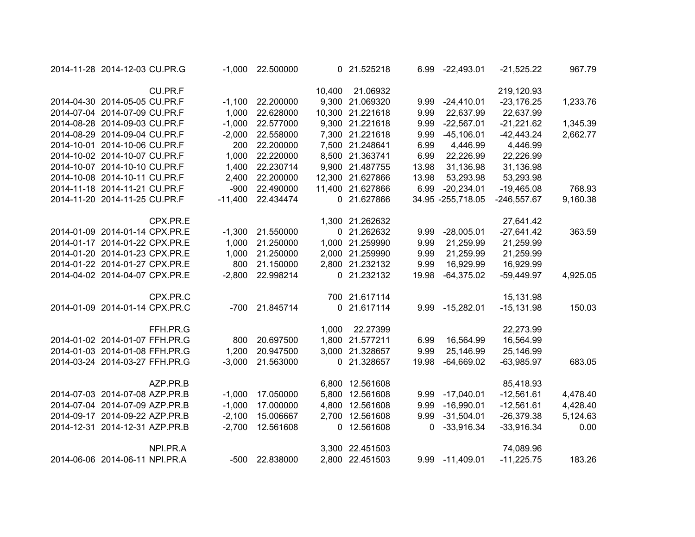| 2014-11-28 2014-12-03 CU.PR.G  |          | $-1,000$  | 22.500000 |        | 0 21.525218      | 6.99  | $-22,493.01$        | $-21,525.22$  | 967.79   |
|--------------------------------|----------|-----------|-----------|--------|------------------|-------|---------------------|---------------|----------|
|                                | CU.PR.F  |           |           | 10,400 | 21.06932         |       |                     | 219,120.93    |          |
| 2014-04-30 2014-05-05 CU.PR.F  |          | $-1,100$  | 22.200000 |        | 9,300 21.069320  | 9.99  | $-24,410.01$        | $-23,176.25$  | 1,233.76 |
| 2014-07-04 2014-07-09 CU.PR.F  |          | 1,000     | 22.628000 |        | 10,300 21.221618 | 9.99  | 22,637.99           | 22,637.99     |          |
| 2014-08-28 2014-09-03 CU.PR.F  |          | $-1,000$  | 22.577000 |        | 9,300 21.221618  | 9.99  | $-22,567.01$        | $-21,221.62$  | 1,345.39 |
| 2014-08-29 2014-09-04 CU.PR.F  |          | $-2,000$  | 22.558000 |        | 7,300 21.221618  | 9.99  | $-45,106.01$        | $-42,443.24$  | 2,662.77 |
| 2014-10-01 2014-10-06 CU.PR.F  |          | 200       | 22.200000 |        | 7,500 21.248641  | 6.99  | 4,446.99            | 4,446.99      |          |
| 2014-10-02 2014-10-07 CU.PR.F  |          | 1,000     | 22.220000 |        | 8,500 21.363741  | 6.99  | 22,226.99           | 22,226.99     |          |
| 2014-10-07 2014-10-10 CU.PR.F  |          | 1,400     | 22.230714 |        | 9,900 21.487755  | 13.98 | 31,136.98           | 31,136.98     |          |
| 2014-10-08 2014-10-11 CU.PR.F  |          | 2,400     | 22.200000 |        | 12,300 21.627866 | 13.98 | 53,293.98           | 53,293.98     |          |
| 2014-11-18 2014-11-21 CU.PR.F  |          | $-900$    | 22.490000 |        | 11,400 21.627866 | 6.99  | $-20,234.01$        | $-19,465.08$  | 768.93   |
| 2014-11-20 2014-11-25 CU.PR.F  |          | $-11,400$ | 22.434474 |        | 0 21.627866      |       | 34.95 - 255, 718.05 | $-246,557.67$ | 9,160.38 |
|                                | CPX.PR.E |           |           |        | 1,300 21.262632  |       |                     | 27,641.42     |          |
| 2014-01-09 2014-01-14 CPX.PR.E |          | $-1,300$  | 21.550000 |        | 0 21.262632      | 9.99  | $-28,005.01$        | $-27,641.42$  | 363.59   |
| 2014-01-17 2014-01-22 CPX.PR.E |          | 1,000     | 21.250000 |        | 1,000 21.259990  | 9.99  | 21,259.99           | 21,259.99     |          |
| 2014-01-20 2014-01-23 CPX.PR.E |          | 1,000     | 21.250000 |        | 2,000 21.259990  | 9.99  | 21,259.99           | 21,259.99     |          |
| 2014-01-22 2014-01-27 CPX.PR.E |          | 800       | 21.150000 |        | 2,800 21.232132  | 9.99  | 16,929.99           | 16,929.99     |          |
| 2014-04-02 2014-04-07 CPX.PR.E |          | $-2,800$  | 22.998214 |        | 0 21.232132      | 19.98 | $-64,375.02$        | $-59,449.97$  | 4,925.05 |
|                                | CPX.PR.C |           |           |        | 700 21.617114    |       |                     | 15,131.98     |          |
| 2014-01-09 2014-01-14 CPX.PR.C |          | -700      | 21.845714 |        | 0 21.617114      |       | 9.99 -15,282.01     | $-15,131.98$  | 150.03   |
|                                | FFH.PR.G |           |           | 1,000  | 22.27399         |       |                     | 22,273.99     |          |
| 2014-01-02 2014-01-07 FFH.PR.G |          | 800       | 20.697500 | 1,800  | 21.577211        | 6.99  | 16,564.99           | 16,564.99     |          |
| 2014-01-03 2014-01-08 FFH.PR.G |          | 1,200     | 20.947500 |        | 3,000 21.328657  | 9.99  | 25,146.99           | 25,146.99     |          |
| 2014-03-24 2014-03-27 FFH.PR.G |          | $-3,000$  | 21.563000 |        | 0 21.328657      | 19.98 | $-64,669.02$        | $-63,985.97$  | 683.05   |
|                                | AZP.PR.B |           |           |        | 6,800 12.561608  |       |                     | 85,418.93     |          |
| 2014-07-03 2014-07-08 AZP.PR.B |          | $-1,000$  | 17.050000 |        | 5,800 12.561608  | 9.99  | $-17,040.01$        | $-12,561.61$  | 4,478.40 |
| 2014-07-04 2014-07-09 AZP.PR.B |          | $-1,000$  | 17.000000 |        | 4,800 12.561608  | 9.99  | $-16,990.01$        | $-12,561.61$  | 4,428.40 |
| 2014-09-17 2014-09-22 AZP.PR.B |          | $-2,100$  | 15.006667 |        | 2,700 12.561608  | 9.99  | $-31,504.01$        | $-26,379.38$  | 5,124.63 |
| 2014-12-31 2014-12-31 AZP.PR.B |          | $-2,700$  | 12.561608 |        | 0 12.561608      | 0     | $-33,916.34$        | $-33,916.34$  | 0.00     |
|                                | NPI.PR.A |           |           |        | 3,300 22.451503  |       |                     | 74,089.96     |          |
| 2014-06-06 2014-06-11 NPI.PR.A |          | $-500$    | 22.838000 |        | 2,800 22.451503  |       | 9.99 -11,409.01     | $-11,225.75$  | 183.26   |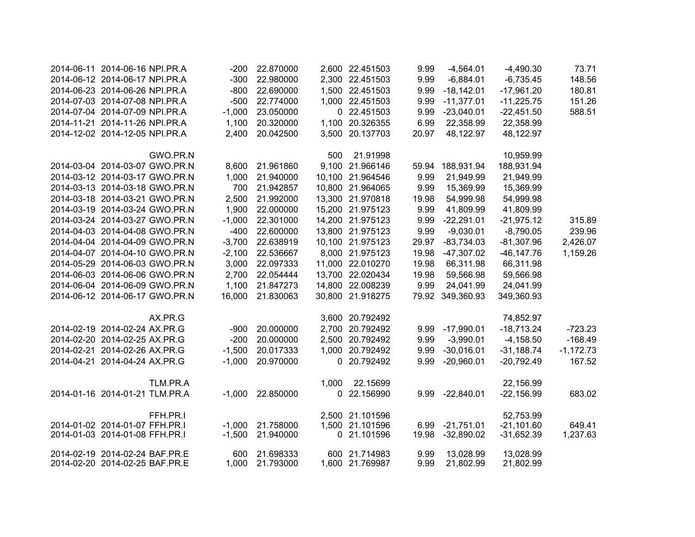| 2014-06-11 2014-06-16 NPI.PR.A |          | $-200$   | 22.870000 |              | 2,600 22.451503  | 9.99  | $-4,564.01$      | $-4,490.30$   | 73.71       |
|--------------------------------|----------|----------|-----------|--------------|------------------|-------|------------------|---------------|-------------|
| 2014-06-12 2014-06-17 NPI.PR.A |          | $-300$   | 22.980000 |              | 2,300 22.451503  | 9.99  | $-6,884.01$      | $-6,735.45$   | 148.56      |
| 2014-06-23 2014-06-26 NPI.PR.A |          | $-800$   | 22.690000 |              | 1,500 22.451503  | 9.99  | $-18,142.01$     | $-17,961.20$  | 180.81      |
| 2014-07-03 2014-07-08 NPI.PR.A |          | $-500$   | 22.774000 |              | 1,000 22.451503  | 9.99  | $-11,377.01$     | $-11,225.75$  | 151.26      |
| 2014-07-04 2014-07-09 NPI.PR.A |          | $-1,000$ | 23.050000 |              | 0 22.451503      | 9.99  | $-23,040.01$     | $-22,451.50$  | 588.51      |
| 2014-11-21 2014-11-26 NPI.PR.A |          | 1,100    | 20.320000 |              | 1,100 20.326355  | 6.99  | 22,358.99        | 22,358.99     |             |
| 2014-12-02 2014-12-05 NPI.PR.A |          | 2,400    | 20.042500 |              | 3,500 20.137703  | 20.97 | 48,122.97        | 48,122.97     |             |
|                                | GWO.PR.N |          |           | 500          | 21.91998         |       |                  | 10,959.99     |             |
| 2014-03-04 2014-03-07 GWO.PR.N |          | 8,600    | 21.961860 |              | 9,100 21.966146  | 59.94 | 188,931.94       | 188,931.94    |             |
| 2014-03-12 2014-03-17 GWO.PR.N |          | 1,000    | 21.940000 |              | 10,100 21.964546 | 9.99  | 21,949.99        | 21,949.99     |             |
| 2014-03-13 2014-03-18 GWO.PR.N |          | 700      | 21.942857 |              | 10,800 21.964065 | 9.99  | 15,369.99        | 15,369.99     |             |
| 2014-03-18 2014-03-21 GWO.PR.N |          | 2,500    | 21.992000 |              | 13,300 21.970818 | 19.98 | 54,999.98        | 54,999.98     |             |
| 2014-03-19 2014-03-24 GWO.PR.N |          | 1,900    | 22.000000 |              | 15,200 21.975123 | 9.99  | 41,809.99        | 41,809.99     |             |
| 2014-03-24 2014-03-27 GWO.PR.N |          | $-1,000$ | 22.301000 |              | 14,200 21.975123 | 9.99  | $-22,291.01$     | $-21,975.12$  | 315.89      |
| 2014-04-03 2014-04-08 GWO.PR.N |          | $-400$   | 22.600000 |              | 13,800 21.975123 | 9.99  | $-9,030.01$      | $-8,790.05$   | 239.96      |
| 2014-04-04 2014-04-09 GWO.PR.N |          | $-3,700$ | 22.638919 |              | 10,100 21.975123 | 29.97 | $-83,734.03$     | $-81,307.96$  | 2,426.07    |
| 2014-04-07 2014-04-10 GWO.PR.N |          | $-2,100$ | 22.536667 |              | 8,000 21.975123  | 19.98 | $-47,307.02$     | $-46, 147.76$ | 1,159.26    |
| 2014-05-29 2014-06-03 GWO.PR.N |          | 3,000    | 22.097333 |              | 11,000 22.010270 | 19.98 | 66,311.98        | 66,311.98     |             |
| 2014-06-03 2014-06-06 GWO.PR.N |          | 2,700    | 22.054444 |              | 13,700 22.020434 | 19.98 | 59,566.98        | 59,566.98     |             |
| 2014-06-04 2014-06-09 GWO.PR.N |          | 1,100    | 21.847273 |              | 14,800 22.008239 | 9.99  | 24,041.99        | 24,041.99     |             |
| 2014-06-12 2014-06-17 GWO.PR.N |          | 16,000   | 21.830063 |              | 30,800 21.918275 |       | 79.92 349,360.93 | 349,360.93    |             |
|                                | AX.PR.G  |          |           |              | 3,600 20.792492  |       |                  | 74,852.97     |             |
| 2014-02-19 2014-02-24 AX.PR.G  |          | $-900$   | 20.000000 |              | 2,700 20.792492  | 9.99  | $-17,990.01$     | $-18,713.24$  | $-723.23$   |
| 2014-02-20 2014-02-25 AX.PR.G  |          | $-200$   | 20.000000 |              | 2,500 20.792492  | 9.99  | $-3,990.01$      | $-4,158.50$   | $-168.49$   |
| 2014-02-21 2014-02-26 AX.PR.G  |          | $-1,500$ | 20.017333 |              | 1,000 20.792492  | 9.99  | $-30,016.01$     | $-31,188.74$  | $-1,172.73$ |
| 2014-04-21 2014-04-24 AX.PR.G  |          | $-1,000$ | 20.970000 |              | 0 20.792492      | 9.99  | $-20,960.01$     | $-20,792.49$  | 167.52      |
|                                | TLM.PR.A |          |           | 1,000        | 22.15699         |       |                  | 22,156.99     |             |
| 2014-01-16 2014-01-21 TLM.PR.A |          | $-1,000$ | 22.850000 | $\mathbf{0}$ | 22.156990        | 9.99  | $-22,840.01$     | $-22,156.99$  | 683.02      |
|                                | FFH.PR.I |          |           |              | 2,500 21.101596  |       |                  | 52,753.99     |             |
| 2014-01-02 2014-01-07 FFH.PR.I |          | $-1,000$ | 21.758000 |              | 1,500 21.101596  | 6.99  | $-21,751.01$     | $-21,101.60$  | 649.41      |
| 2014-01-03 2014-01-08 FFH.PR.I |          | $-1,500$ | 21.940000 | 0            | 21.101596        | 19.98 | $-32,890.02$     | $-31,652.39$  | 1,237.63    |
| 2014-02-19 2014-02-24 BAF.PR.E |          | 600      | 21.698333 |              | 600 21.714983    | 9.99  | 13,028.99        | 13,028.99     |             |
| 2014-02-20 2014-02-25 BAF.PR.E |          | 1,000    | 21.793000 |              | 1,600 21.769987  | 9.99  | 21,802.99        | 21,802.99     |             |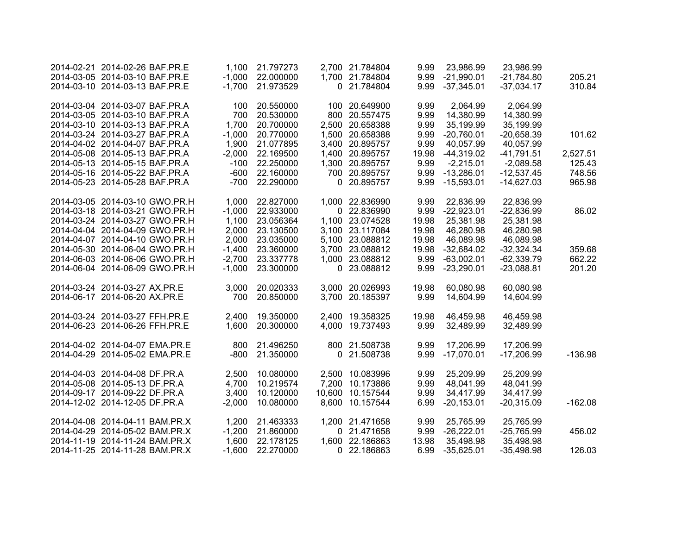|           | 23,986.99                                           | 23,986.99                                           | 9.99                 | 2,700 21.784804                                       | 21.797273                                        | 1,100                               | 2014-02-21 2014-02-26 BAF.PR.E                                                                   |  |
|-----------|-----------------------------------------------------|-----------------------------------------------------|----------------------|-------------------------------------------------------|--------------------------------------------------|-------------------------------------|--------------------------------------------------------------------------------------------------|--|
| 205.21    | $-21,784.80$                                        | 9.99 -21,990.01                                     |                      | 1,700 21.784804                                       | $-1,000$ 22.000000                               |                                     | 2014-03-05 2014-03-10 BAF.PR.E                                                                   |  |
| 310.84    | $-37,034.17$                                        | $-37,345.01$                                        | 9.99                 | 0 21.784804                                           | -1,700 21.973529                                 |                                     | 2014-03-10 2014-03-13 BAF.PR.E                                                                   |  |
|           | 2,064.99                                            | 2,064.99                                            | 9.99                 | 100 20.649900                                         | 20.550000                                        | 100                                 | 2014-03-04 2014-03-07 BAF.PR.A                                                                   |  |
|           | 14,380.99                                           | 14,380.99                                           | 9.99                 | 800 20.557475                                         | 20.530000                                        | 700                                 | 2014-03-05 2014-03-10 BAF.PR.A                                                                   |  |
|           | 35,199.99                                           | 35,199.99                                           | 9.99                 | 2,500 20.658388                                       | 20.700000                                        | 1,700                               | 2014-03-10 2014-03-13 BAF.PR.A                                                                   |  |
| 101.62    | $-20,658.39$                                        | $-20,760.01$                                        | 9.99                 | 1,500 20.658388                                       | 20.770000                                        | $-1,000$                            | 2014-03-24 2014-03-27 BAF.PR.A                                                                   |  |
|           | 40,057.99                                           | 40,057.99                                           | 9.99                 | 3,400 20.895757                                       | 21.077895                                        | 1,900                               | 2014-04-02 2014-04-07 BAF.PR.A                                                                   |  |
| 2,527.51  | $-41,791.51$                                        | $-44,319.02$                                        | 19.98                | 1,400 20.895757                                       | 22.169500                                        | $-2,000$                            | 2014-05-08 2014-05-13 BAF.PR.A                                                                   |  |
| 125.43    | $-2,089.58$                                         | $-2,215.01$                                         | 9.99                 | 1,300 20.895757                                       | 22.250000                                        | $-100$                              | 2014-05-13 2014-05-15 BAF.PR.A                                                                   |  |
| 748.56    | $-12,537.45$                                        | 9.99 -13,286.01                                     |                      | 700 20.895757                                         | 22.160000                                        | -600                                | 2014-05-16 2014-05-22 BAF.PR.A                                                                   |  |
| 965.98    | $-14,627.03$                                        | $-15,593.01$                                        | 9.99                 | 0 20.895757                                           | 22.290000                                        | -700                                | 2014-05-23 2014-05-28 BAF.PR.A                                                                   |  |
|           | 22,836.99                                           | 22,836.99                                           | 9.99                 | 1,000 22.836990                                       | 22.827000                                        | 1,000                               | 2014-03-05 2014-03-10 GWO.PR.H                                                                   |  |
| 86.02     | $-22,836.99$                                        | $-22,923.01$                                        | 9.99                 | 0 22.836990                                           | 22.933000                                        | $-1,000$                            | 2014-03-18 2014-03-21 GWO.PR.H                                                                   |  |
|           | 25,381.98                                           | 25,381.98                                           | 19.98                | 1,100 23.074528                                       | 23.056364                                        | 1,100                               | 2014-03-24 2014-03-27 GWO.PR.H                                                                   |  |
|           | 46,280.98                                           | 46,280.98                                           | 19.98                | 3,100 23.117084                                       | 23.130500                                        | 2,000                               | 2014-04-04 2014-04-09 GWO.PR.H                                                                   |  |
|           | 46,089.98                                           | 46,089.98                                           | 19.98                | 5,100 23.088812                                       | 23.035000                                        | 2,000                               | 2014-04-07 2014-04-10 GWO.PR.H                                                                   |  |
| 359.68    | $-32,324.34$                                        | $-32,684.02$                                        | 19.98                | 3,700 23.088812                                       | $-1,400$ 23.360000                               |                                     | 2014-05-30 2014-06-04 GWO.PR.H                                                                   |  |
| 662.22    | $-62,339.79$                                        | $-63,002.01$                                        | 9.99                 | 1,000 23.088812                                       | 23.337778                                        | $-2,700$                            | 2014-06-03 2014-06-06 GWO.PR.H                                                                   |  |
| 201.20    | $-23,088.81$                                        | $-23,290.01$                                        | 9.99                 | 0 23.088812                                           | 23.300000                                        | $-1,000$                            | 2014-06-04 2014-06-09 GWO.PR.H                                                                   |  |
|           | 60,080.98                                           | 60,080.98                                           | 19.98                | 3,000 20.026993                                       | 20.020333                                        | 3,000                               | 2014-03-24 2014-03-27 AX.PR.E                                                                    |  |
|           | 14,604.99                                           | 14,604.99                                           | 9.99                 | 3,700 20.185397                                       | 20.850000                                        | 700                                 | 2014-06-17 2014-06-20 AX.PR.E                                                                    |  |
|           | 46,459.98                                           | 46,459.98                                           | 19.98                | 2,400 19.358325                                       | 19.350000                                        | 2,400                               | 2014-03-24 2014-03-27 FFH.PR.E                                                                   |  |
|           | 32,489.99                                           | 32,489.99                                           | 9.99                 | 4,000 19.737493                                       | 20.300000                                        | 1,600                               | 2014-06-23 2014-06-26 FFH.PR.E                                                                   |  |
|           | 17,206.99                                           | 17,206.99                                           | 9.99                 | 800 21.508738                                         | 21.496250                                        | 800                                 | 2014-04-02 2014-04-07 EMA.PR.E                                                                   |  |
| $-136.98$ | $-17,206.99$                                        | $-17,070.01$                                        | 9.99                 | 0 21.508738                                           | 21.350000                                        | $-800$                              | 2014-04-29 2014-05-02 EMA.PR.E                                                                   |  |
|           |                                                     |                                                     |                      |                                                       |                                                  |                                     |                                                                                                  |  |
|           |                                                     |                                                     |                      |                                                       |                                                  |                                     |                                                                                                  |  |
|           | 34,417.99                                           | 34,417.99                                           | 9.99                 | 10,600 10.157544                                      |                                                  | 3,400                               | 2014-09-17 2014-09-22 DF.PR.A                                                                    |  |
| $-162.08$ | $-20,315.09$                                        | $-20,153.01$                                        | 6.99                 | 8,600 10.157544                                       | 10.080000                                        | $-2,000$                            | 2014-12-02 2014-12-05 DF.PR.A                                                                    |  |
|           |                                                     |                                                     |                      |                                                       |                                                  |                                     |                                                                                                  |  |
| 456.02    |                                                     |                                                     | 9.99                 | 0 21.471658                                           | 21.860000                                        |                                     | 2014-04-29 2014-05-02 BAM.PR.X                                                                   |  |
|           | 35,498.98                                           | 35,498.98                                           | 13.98                | 1,600 22.186863                                       | 22.178125                                        | 1,600                               | 2014-11-19 2014-11-24 BAM.PR.X                                                                   |  |
| 126.03    | $-35,498.98$                                        | $-35,625.01$                                        | 6.99                 | 0 22.186863                                           | 22.270000                                        | $-1,600$                            | 2014-11-25 2014-11-28 BAM.PR.X                                                                   |  |
|           | 25,209.99<br>48,041.99<br>25,765.99<br>$-25,765.99$ | 25,209.99<br>48,041.99<br>25,765.99<br>$-26,222.01$ | 9.99<br>9.99<br>9.99 | 2,500 10.083996<br>7,200 10.173886<br>1,200 21.471658 | 10.080000<br>10.219574<br>10.120000<br>21.463333 | 2,500<br>4,700<br>1,200<br>$-1,200$ | 2014-04-03 2014-04-08 DF.PR.A<br>2014-05-08 2014-05-13 DF.PR.A<br>2014-04-08 2014-04-11 BAM.PR.X |  |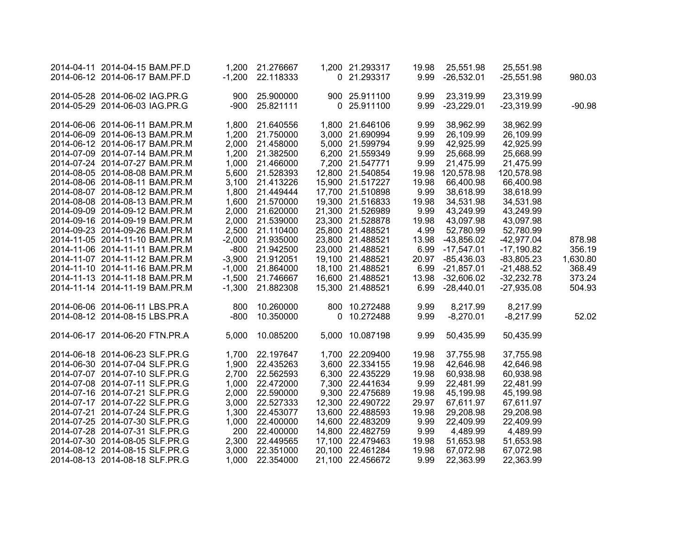| 2014-04-11 2014-04-15 BAM.PF.D |          | 1,200 21.276667    | 1,200 21.293317  | 19.98 | 25,551.98    | 25,551.98    |          |
|--------------------------------|----------|--------------------|------------------|-------|--------------|--------------|----------|
| 2014-06-12 2014-06-17 BAM.PF.D | $-1,200$ | 22.118333          | 0 21.293317      | 9.99  | $-26,532.01$ | $-25,551.98$ | 980.03   |
|                                |          |                    |                  |       |              |              |          |
| 2014-05-28 2014-06-02 IAG.PR.G | 900      | 25.900000          | 900 25.911100    | 9.99  | 23,319.99    | 23,319.99    |          |
| 2014-05-29 2014-06-03 IAG.PR.G |          | -900 25.821111     | 0 25.911100      | 9.99  | $-23,229.01$ | $-23,319.99$ | $-90.98$ |
|                                |          |                    |                  |       |              |              |          |
| 2014-06-06 2014-06-11 BAM.PR.M |          | 1,800 21.640556    | 1,800 21.646106  | 9.99  | 38,962.99    | 38,962.99    |          |
| 2014-06-09 2014-06-13 BAM.PR.M |          | 1,200 21.750000    | 3,000 21.690994  | 9.99  | 26,109.99    | 26,109.99    |          |
| 2014-06-12 2014-06-17 BAM.PR.M | 2,000    | 21.458000          | 5,000 21.599794  | 9.99  | 42,925.99    | 42,925.99    |          |
| 2014-07-09 2014-07-14 BAM.PR.M |          | 1,200 21.382500    | 6,200 21.559349  | 9.99  | 25,668.99    | 25,668.99    |          |
| 2014-07-24 2014-07-27 BAM.PR.M |          | 1,000 21.466000    | 7,200 21.547771  | 9.99  | 21,475.99    | 21,475.99    |          |
| 2014-08-05 2014-08-08 BAM.PR.M |          | 5,600 21.528393    | 12,800 21.540854 | 19.98 | 120,578.98   | 120,578.98   |          |
| 2014-08-06 2014-08-11 BAM.PR.M |          | 3,100 21.413226    | 15,900 21.517227 | 19.98 | 66,400.98    | 66,400.98    |          |
| 2014-08-07 2014-08-12 BAM.PR.M |          | 1,800 21.449444    | 17,700 21.510898 | 9.99  | 38,618.99    | 38,618.99    |          |
| 2014-08-08 2014-08-13 BAM.PR.M |          | 1,600 21.570000    | 19,300 21.516833 | 19.98 | 34,531.98    | 34,531.98    |          |
| 2014-09-09 2014-09-12 BAM.PR.M |          | 2,000 21.620000    | 21,300 21.526989 | 9.99  | 43,249.99    | 43,249.99    |          |
| 2014-09-16 2014-09-19 BAM.PR.M |          | 2,000 21.539000    | 23,300 21.528878 | 19.98 | 43,097.98    | 43,097.98    |          |
| 2014-09-23 2014-09-26 BAM.PR.M |          | 2,500 21.110400    | 25,800 21.488521 | 4.99  | 52,780.99    | 52,780.99    |          |
| 2014-11-05 2014-11-10 BAM.PR.M |          | $-2,000$ 21.935000 | 23,800 21.488521 | 13.98 | $-43,856.02$ | $-42,977.04$ | 878.98   |
| 2014-11-06 2014-11-11 BAM.PR.M |          | -800 21.942500     | 23,000 21.488521 | 6.99  | $-17,547.01$ | $-17,190.82$ | 356.19   |
| 2014-11-07 2014-11-12 BAM.PR.M |          | -3,900 21.912051   | 19,100 21.488521 | 20.97 | $-85,436.03$ | $-83,805.23$ | 1,630.80 |
| 2014-11-10 2014-11-16 BAM.PR.M |          | $-1,000$ 21.864000 | 18,100 21.488521 | 6.99  | $-21,857.01$ | $-21,488.52$ | 368.49   |
| 2014-11-13 2014-11-18 BAM.PR.M |          | -1,500 21.746667   | 16,600 21.488521 | 13.98 | $-32,606.02$ | $-32,232.78$ | 373.24   |
| 2014-11-14 2014-11-19 BAM.PR.M |          | -1,300 21.882308   | 15,300 21.488521 | 6.99  | $-28,440.01$ | $-27,935.08$ | 504.93   |
|                                |          |                    |                  |       |              |              |          |
| 2014-06-06 2014-06-11 LBS.PR.A |          | 800 10.260000      | 800 10.272488    | 9.99  | 8,217.99     | 8,217.99     |          |
| 2014-08-12 2014-08-15 LBS.PR.A | -800     | 10.350000          | 0 10.272488      | 9.99  | $-8,270.01$  | $-8,217.99$  | 52.02    |
|                                |          |                    |                  |       |              |              |          |
| 2014-06-17 2014-06-20 FTN.PR.A | 5,000    | 10.085200          | 5,000 10.087198  | 9.99  | 50,435.99    | 50,435.99    |          |
|                                |          |                    |                  |       |              |              |          |
| 2014-06-18 2014-06-23 SLF.PR.G |          | 1,700 22.197647    | 1,700 22.209400  | 19.98 | 37,755.98    | 37,755.98    |          |
| 2014-06-30 2014-07-04 SLF.PR.G |          | 1,900 22.435263    | 3,600 22.334155  | 19.98 | 42,646.98    | 42,646.98    |          |
| 2014-07-07 2014-07-10 SLF.PR.G |          | 2,700 22.562593    | 6,300 22.435229  | 19.98 | 60,938.98    | 60,938.98    |          |
| 2014-07-08 2014-07-11 SLF.PR.G |          | 1,000 22.472000    | 7,300 22.441634  | 9.99  | 22,481.99    | 22,481.99    |          |
| 2014-07-16 2014-07-21 SLF.PR.G |          | 2,000 22.590000    | 9,300 22.475689  | 19.98 | 45,199.98    | 45,199.98    |          |
| 2014-07-17 2014-07-22 SLF.PR.G |          | 3,000 22.527333    | 12,300 22.490722 | 29.97 | 67,611.97    | 67,611.97    |          |
| 2014-07-21 2014-07-24 SLF.PR.G | 1,300    | 22.453077          | 13,600 22.488593 | 19.98 | 29,208.98    | 29,208.98    |          |
| 2014-07-25 2014-07-30 SLF.PR.G |          | 1,000 22.400000    | 14,600 22.483209 | 9.99  | 22,409.99    | 22,409.99    |          |
| 2014-07-28 2014-07-31 SLF.PR.G |          | 200 22.400000      | 14,800 22.482759 | 9.99  | 4,489.99     | 4,489.99     |          |
| 2014-07-30 2014-08-05 SLF.PR.G |          | 2,300 22.449565    | 17,100 22.479463 | 19.98 | 51,653.98    | 51,653.98    |          |
| 2014-08-12 2014-08-15 SLF.PR.G | 3,000    | 22.351000          | 20,100 22.461284 | 19.98 | 67,072.98    | 67,072.98    |          |
| 2014-08-13 2014-08-18 SLF.PR.G | 1,000    | 22.354000          | 21,100 22.456672 | 9.99  | 22,363.99    | 22,363.99    |          |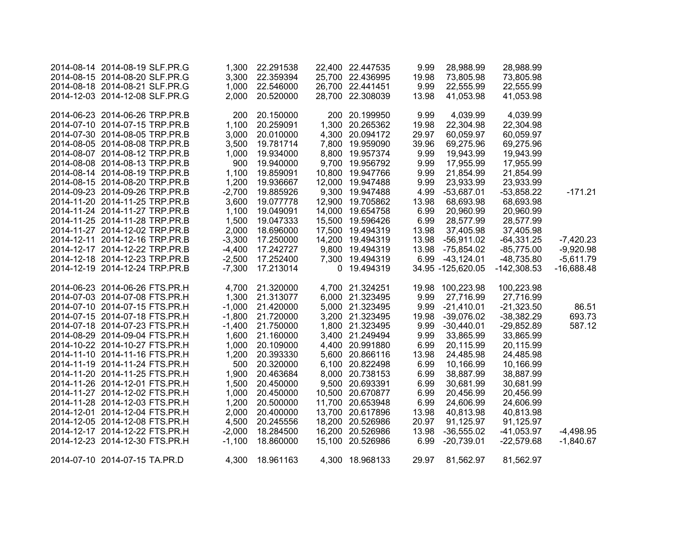| 2014-08-14 2014-08-19 SLF.PR.G |          | 1,300 22.291538    | 22,400 22.447535 | 9.99  | 28,988.99         | 28,988.99     |              |
|--------------------------------|----------|--------------------|------------------|-------|-------------------|---------------|--------------|
| 2014-08-15 2014-08-20 SLF.PR.G |          | 3,300 22.359394    | 25,700 22.436995 | 19.98 | 73,805.98         | 73,805.98     |              |
| 2014-08-18 2014-08-21 SLF.PR.G |          | 1,000 22.546000    | 26,700 22.441451 | 9.99  | 22,555.99         | 22,555.99     |              |
| 2014-12-03 2014-12-08 SLF.PR.G | 2,000    | 20.520000          | 28,700 22.308039 | 13.98 | 41,053.98         | 41,053.98     |              |
|                                |          |                    |                  |       |                   |               |              |
| 2014-06-23 2014-06-26 TRP.PR.B | 200      | 20.150000          | 200 20.199950    | 9.99  | 4,039.99          | 4,039.99      |              |
| 2014-07-10 2014-07-15 TRP.PR.B |          | 1,100 20.259091    | 1,300 20.265362  | 19.98 | 22,304.98         | 22,304.98     |              |
| 2014-07-30 2014-08-05 TRP.PR.B |          | 3,000 20.010000    | 4,300 20.094172  | 29.97 | 60,059.97         | 60,059.97     |              |
| 2014-08-05 2014-08-08 TRP.PR.B | 3,500    | 19.781714          | 7,800 19.959090  | 39.96 | 69,275.96         | 69,275.96     |              |
| 2014-08-07 2014-08-12 TRP.PR.B | 1,000    | 19.934000          | 8,800 19.957374  | 9.99  | 19,943.99         | 19,943.99     |              |
| 2014-08-08 2014-08-13 TRP.PR.B | 900      | 19.940000          | 9,700 19.956792  | 9.99  | 17,955.99         | 17,955.99     |              |
| 2014-08-14 2014-08-19 TRP.PR.B | 1,100    | 19.859091          | 10,800 19.947766 | 9.99  | 21,854.99         | 21,854.99     |              |
| 2014-08-15 2014-08-20 TRP.PR.B | 1,200    | 19.936667          | 12,000 19.947488 | 9.99  | 23,933.99         | 23,933.99     |              |
| 2014-09-23 2014-09-26 TRP.PR.B | $-2,700$ | 19.885926          | 9,300 19.947488  | 4.99  | $-53,687.01$      | $-53,858.22$  | $-171.21$    |
| 2014-11-20 2014-11-25 TRP.PR.B | 3,600    | 19.077778          | 12,900 19.705862 | 13.98 | 68,693.98         | 68,693.98     |              |
| 2014-11-24 2014-11-27 TRP.PR.B | 1,100    | 19.049091          | 14,000 19.654758 | 6.99  | 20,960.99         | 20,960.99     |              |
| 2014-11-25 2014-11-28 TRP.PR.B |          | 1,500 19.047333    | 15,500 19.596426 | 6.99  | 28,577.99         | 28,577.99     |              |
| 2014-11-27 2014-12-02 TRP.PR.B | 2,000    | 18.696000          | 17,500 19.494319 | 13.98 | 37,405.98         | 37,405.98     |              |
| 2014-12-11 2014-12-16 TRP.PR.B | $-3,300$ | 17.250000          | 14,200 19.494319 | 13.98 | $-56,911.02$      | $-64,331.25$  | $-7,420.23$  |
| 2014-12-17 2014-12-22 TRP.PR.B | $-4,400$ | 17.242727          | 9,800 19.494319  | 13.98 | -75,854.02        | $-85,775.00$  | $-9,920.98$  |
| 2014-12-18 2014-12-23 TRP.PR.B |          | -2,500 17.252400   | 7,300 19.494319  |       | 6.99 -43,124.01   | $-48,735.80$  | $-5,611.79$  |
| 2014-12-19 2014-12-24 TRP.PR.B |          | -7,300 17.213014   | 0 19.494319      |       | 34.95 -125,620.05 | $-142,308.53$ | $-16,688.48$ |
|                                |          |                    |                  |       |                   |               |              |
| 2014-06-23 2014-06-26 FTS.PR.H |          | 4,700 21.320000    | 4,700 21.324251  |       | 19.98 100,223.98  | 100,223.98    |              |
| 2014-07-03 2014-07-08 FTS.PR.H |          | 1,300 21.313077    | 6,000 21.323495  | 9.99  | 27,716.99         | 27,716.99     |              |
| 2014-07-10 2014-07-15 FTS.PR.H |          | $-1,000$ 21.420000 | 5,000 21.323495  | 9.99  | $-21,410.01$      | $-21,323.50$  | 86.51        |
| 2014-07-15 2014-07-18 FTS.PR.H |          | $-1,800$ 21.720000 | 3,200 21.323495  | 19.98 | $-39,076.02$      | $-38,382.29$  | 693.73       |
| 2014-07-18 2014-07-23 FTS.PR.H | $-1,400$ | 21.750000          | 1,800 21.323495  | 9.99  | $-30,440.01$      | $-29,852.89$  | 587.12       |
| 2014-08-29 2014-09-04 FTS.PR.H |          | 1,600 21.160000    | 3,400 21.249494  | 9.99  | 33,865.99         | 33,865.99     |              |
| 2014-10-22 2014-10-27 FTS.PR.H | 1,000    | 20.109000          | 4,400 20.991880  | 6.99  | 20,115.99         | 20,115.99     |              |
| 2014-11-10 2014-11-16 FTS.PR.H | 1,200    | 20.393330          | 5,600 20.866116  | 13.98 | 24,485.98         | 24,485.98     |              |
| 2014-11-19 2014-11-24 FTS.PR.H | 500      | 20.320000          | 6,100 20.822498  | 6.99  | 10,166.99         | 10,166.99     |              |
| 2014-11-20 2014-11-25 FTS.PR.H | 1,900    | 20.463684          | 8,000 20.738153  | 6.99  | 38,887.99         | 38,887.99     |              |
| 2014-11-26 2014-12-01 FTS.PR.H | 1,500    | 20.450000          | 9,500 20.693391  | 6.99  | 30,681.99         | 30,681.99     |              |
| 2014-11-27 2014-12-02 FTS.PR.H |          | 1,000 20.450000    | 10,500 20.670877 | 6.99  | 20,456.99         | 20,456.99     |              |
| 2014-11-28 2014-12-03 FTS.PR.H | 1,200    | 20.500000          | 11,700 20.653948 | 6.99  | 24,606.99         | 24,606.99     |              |
| 2014-12-01 2014-12-04 FTS.PR.H | 2,000    | 20.400000          | 13,700 20.617896 | 13.98 | 40,813.98         | 40,813.98     |              |
| 2014-12-05 2014-12-08 FTS.PR.H | 4,500    | 20.245556          | 18,200 20.526986 | 20.97 | 91,125.97         | 91,125.97     |              |
| 2014-12-17 2014-12-22 FTS.PR.H | $-2,000$ | 18.284500          | 16,200 20.526986 | 13.98 | $-36,555.02$      | $-41,053.97$  | $-4,498.95$  |
| 2014-12-23 2014-12-30 FTS.PR.H | $-1,100$ | 18.860000          | 15,100 20.526986 | 6.99  | $-20,739.01$      | $-22,579.68$  | $-1,840.67$  |
|                                |          |                    |                  |       |                   |               |              |
| 2014-07-10 2014-07-15 TA.PR.D  | 4,300    | 18.961163          | 4,300 18.968133  | 29.97 | 81,562.97         | 81,562.97     |              |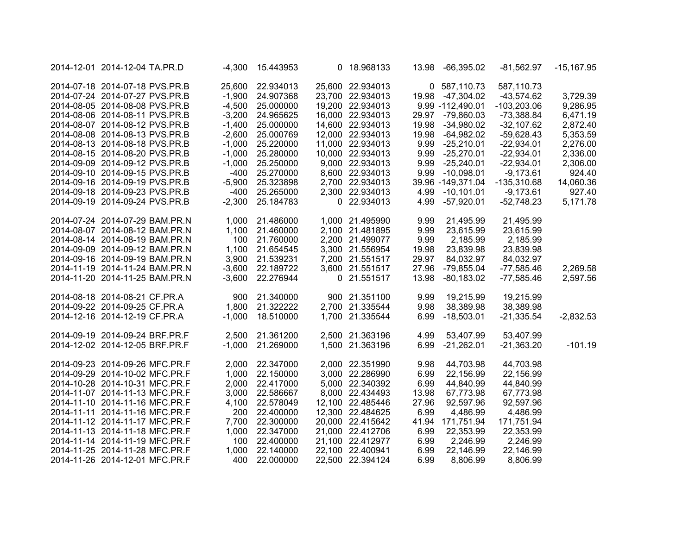| $-15,167.95$ | -81,562.97    | 13.98 -66,395.02  |       | 0 18.968133      | -4,300 15.443953   |          | 2014-12-01 2014-12-04 TA.PR.D  |  |
|--------------|---------------|-------------------|-------|------------------|--------------------|----------|--------------------------------|--|
|              | 587,110.73    | 0 587,110.73      |       | 25,600 22.934013 | 22.934013          | 25,600   | 2014-07-18 2014-07-18 PVS.PR.B |  |
| 3,729.39     | $-43,574.62$  | 19.98 -47,304.02  |       | 23,700 22.934013 | -1,900 24.907368   |          | 2014-07-24 2014-07-27 PVS.PR.B |  |
| 9,286.95     | $-103,203.06$ | 9.99 -112,490.01  |       | 19,200 22.934013 | -4,500 25.000000   |          | 2014-08-05 2014-08-08 PVS.PR.B |  |
| 6,471.19     | $-73,388.84$  | 29.97 -79,860.03  |       | 16,000 22.934013 | -3,200 24.965625   |          | 2014-08-06 2014-08-11 PVS.PR.B |  |
| 2,872.40     | $-32,107.62$  | 19.98 -34,980.02  |       | 14,600 22.934013 | $-1,400$ 25.000000 |          | 2014-08-07 2014-08-12 PVS.PR.B |  |
| 5,353.59     | $-59,628.43$  | $-64,982.02$      | 19.98 | 12,000 22.934013 | -2,600 25.000769   |          | 2014-08-08 2014-08-13 PVS.PR.B |  |
| 2,276.00     | $-22,934.01$  | $-25,210.01$      | 9.99  | 11,000 22.934013 | $-1,000$ 25.220000 |          | 2014-08-13 2014-08-18 PVS.PR.B |  |
| 2,336.00     | $-22,934.01$  | 9.99 -25,270.01   |       | 10,000 22.934013 | $-1,000$ 25.280000 |          | 2014-08-15 2014-08-20 PVS.PR.B |  |
| 2,306.00     | $-22,934.01$  | 9.99 -25,240.01   |       | 9,000 22.934013  | $-1,000$ 25.250000 |          | 2014-09-09 2014-09-12 PVS.PR.B |  |
| 924.40       | $-9,173.61$   | 9.99 -10,098.01   |       | 8,600 22.934013  | -400 25.270000     |          | 2014-09-10 2014-09-15 PVS.PR.B |  |
| 14,060.36    | $-135,310.68$ | 39.96 -149,371.04 |       | 2,700 22.934013  | -5,900 25.323898   |          | 2014-09-16 2014-09-19 PVS.PR.B |  |
| 927.40       | $-9,173.61$   | 4.99 -10,101.01   |       | 2,300 22.934013  | -400 25.265000     |          | 2014-09-18 2014-09-23 PVS.PR.B |  |
| 5,171.78     | $-52,748.23$  | -57,920.01        | 4.99  | 0 22.934013      | $-2,300$ 25.184783 |          | 2014-09-19 2014-09-24 PVS.PR.B |  |
|              | 21,495.99     | 21,495.99         | 9.99  | 1,000 21.495990  | 1,000 21.486000    |          | 2014-07-24 2014-07-29 BAM.PR.N |  |
|              | 23,615.99     | 23,615.99         | 9.99  | 2,100 21.481895  | 1,100 21.460000    |          | 2014-08-07 2014-08-12 BAM.PR.N |  |
|              | 2,185.99      | 2,185.99          | 9.99  | 2,200 21.499077  | 100 21.760000      |          | 2014-08-14 2014-08-19 BAM.PR.N |  |
|              | 23,839.98     | 23,839.98         | 19.98 | 3,300 21.556954  | 1,100 21.654545    |          | 2014-09-09 2014-09-12 BAM.PR.N |  |
|              | 84,032.97     | 84,032.97         | 29.97 | 7,200 21.551517  | 3,900 21.539231    |          | 2014-09-16 2014-09-19 BAM.PR.N |  |
| 2,269.58     | $-77,585.46$  | -79,855.04        | 27.96 | 3,600 21.551517  | -3,600 22.189722   |          | 2014-11-19 2014-11-24 BAM.PR.N |  |
| 2,597.56     | $-77,585.46$  | $-80,183.02$      | 13.98 | 0 21.551517      | -3,600 22.276944   |          | 2014-11-20 2014-11-25 BAM.PR.N |  |
|              | 19,215.99     | 19,215.99         | 9.99  | 900 21.351100    | 900 21.340000      |          | 2014-08-18 2014-08-21 CF.PR.A  |  |
|              | 38,389.98     | 38,389.98         | 9.98  | 2,700 21.335544  | 1,800 21.322222    |          | 2014-09-22 2014-09-25 CF.PR.A  |  |
| $-2,832.53$  | $-21,335.54$  | $-18,503.01$      | 6.99  | 1,700 21.335544  | $-1,000$ 18.510000 |          | 2014-12-16 2014-12-19 CF.PR.A  |  |
|              | 53,407.99     | 53,407.99         | 4.99  | 2,500 21.363196  | 2,500 21.361200    |          | 2014-09-19 2014-09-24 BRF.PR.F |  |
| $-101.19$    | $-21,363.20$  | $-21,262.01$      | 6.99  | 1,500 21.363196  | 21.269000          | $-1,000$ | 2014-12-02 2014-12-05 BRF.PR.F |  |
|              | 44,703.98     | 44,703.98         | 9.98  | 2,000 22.351990  | 22.347000          | 2,000    | 2014-09-23 2014-09-26 MFC.PR.F |  |
|              | 22,156.99     | 22,156.99         | 6.99  | 3,000 22.286990  | 1,000 22.150000    |          | 2014-09-29 2014-10-02 MFC.PR.F |  |
|              | 44,840.99     | 44,840.99         | 6.99  | 5,000 22.340392  | 2,000 22.417000    |          | 2014-10-28 2014-10-31 MFC.PR.F |  |
|              | 67,773.98     | 67,773.98         | 13.98 | 8,000 22.434493  | 3,000 22.586667    |          | 2014-11-07 2014-11-13 MFC.PR.F |  |
|              | 92,597.96     | 92,597.96         | 27.96 | 12,100 22.485446 | 4,100 22.578049    |          | 2014-11-10 2014-11-16 MFC.PR.F |  |
|              | 4,486.99      | 4,486.99          | 6.99  | 12,300 22.484625 | 22.400000          | 200      | 2014-11-11 2014-11-16 MFC.PR.F |  |
|              | 171,751.94    | 171,751.94        | 41.94 | 20,000 22.415642 | 7,700 22.300000    |          | 2014-11-12 2014-11-17 MFC.PR.F |  |
|              | 22,353.99     | 22,353.99         | 6.99  | 21,000 22.412706 | 1,000 22.347000    |          | 2014-11-13 2014-11-18 MFC.PR.F |  |
|              | 2,246.99      | 2,246.99          | 6.99  | 21,100 22.412977 | 100 22.400000      |          | 2014-11-14 2014-11-19 MFC.PR.F |  |
|              | 22,146.99     | 22,146.99         | 6.99  | 22,100 22.400941 | 1,000 22.140000    |          | 2014-11-25 2014-11-28 MFC.PR.F |  |
|              | 8,806.99      | 8,806.99          | 6.99  | 22,500 22.394124 | 22.000000          | 400      | 2014-11-26 2014-12-01 MFC.PR.F |  |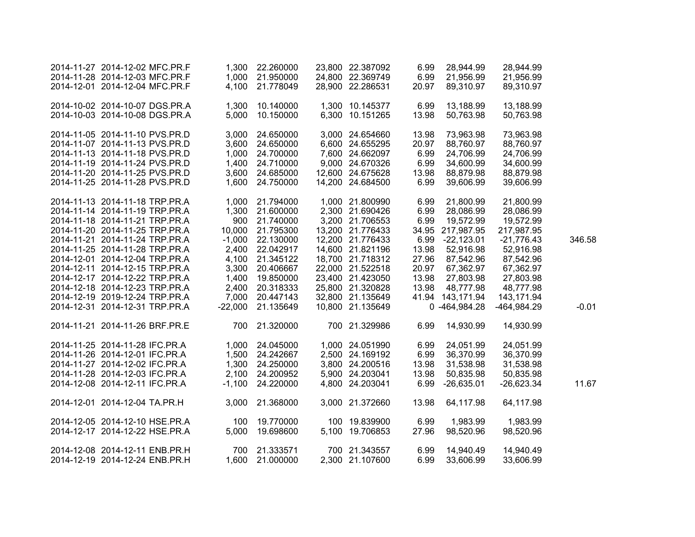|         | 28,944.99    | 28,944.99        | 6.99  | 23,800 22.387092 | 1,300 22.260000    |           | 2014-11-27 2014-12-02 MFC.PR.F |  |
|---------|--------------|------------------|-------|------------------|--------------------|-----------|--------------------------------|--|
|         | 21,956.99    | 21,956.99        | 6.99  | 24,800 22.369749 | 1,000 21.950000    |           | 2014-11-28 2014-12-03 MFC.PR.F |  |
|         | 89,310.97    | 89,310.97        | 20.97 | 28,900 22.286531 | 21.778049          | 4,100     | 2014-12-01 2014-12-04 MFC.PR.F |  |
|         |              |                  |       |                  |                    |           |                                |  |
|         | 13,188.99    | 13,188.99        | 6.99  | 1,300 10.145377  | 1,300 10.140000    |           | 2014-10-02 2014-10-07 DGS.PR.A |  |
|         | 50,763.98    | 50,763.98        | 13.98 | 6,300 10.151265  | 10.150000          | 5,000     | 2014-10-03 2014-10-08 DGS.PR.A |  |
|         | 73,963.98    | 73,963.98        | 13.98 | 3,000 24.654660  | 24.650000          | 3,000     | 2014-11-05 2014-11-10 PVS.PR.D |  |
|         | 88,760.97    | 88,760.97        | 20.97 | 6,600 24.655295  | 24.650000          | 3,600     | 2014-11-07 2014-11-13 PVS.PR.D |  |
|         | 24,706.99    | 24,706.99        | 6.99  | 7,600 24.662097  | 1,000 24.700000    |           | 2014-11-13 2014-11-18 PVS.PR.D |  |
|         | 34,600.99    | 34,600.99        | 6.99  | 9,000 24.670326  | 1,400 24.710000    |           | 2014-11-19 2014-11-24 PVS.PR.D |  |
|         | 88,879.98    | 88,879.98        | 13.98 | 12,600 24.675628 | 24.685000          | 3,600     | 2014-11-20 2014-11-25 PVS.PR.D |  |
|         | 39,606.99    | 39,606.99        | 6.99  | 14,200 24.684500 | 24.750000          | 1,600     | 2014-11-25 2014-11-28 PVS.PR.D |  |
|         |              |                  |       |                  |                    |           |                                |  |
|         | 21,800.99    | 21,800.99        | 6.99  | 1,000 21.800990  | 1,000 21.794000    |           | 2014-11-13 2014-11-18 TRP.PR.A |  |
|         | 28,086.99    | 28,086.99        | 6.99  | 2,300 21.690426  | 1,300 21.600000    |           | 2014-11-14 2014-11-19 TRP.PR.A |  |
|         | 19,572.99    | 19,572.99        | 6.99  | 3,200 21.706553  | 21.740000          | 900       | 2014-11-18 2014-11-21 TRP.PR.A |  |
|         | 217,987.95   | 34.95 217,987.95 |       | 13,200 21.776433 | 21.795300          | 10,000    | 2014-11-20 2014-11-25 TRP.PR.A |  |
| 346.58  | $-21,776.43$ | 6.99 -22,123.01  |       | 12,200 21.776433 | $-1,000$ 22.130000 |           | 2014-11-21 2014-11-24 TRP.PR.A |  |
|         | 52,916.98    | 52,916.98        | 13.98 | 14,600 21.821196 | 2,400 22.042917    |           | 2014-11-25 2014-11-28 TRP.PR.A |  |
|         | 87,542.96    | 87,542.96        | 27.96 | 18,700 21.718312 | 4,100 21.345122    |           | 2014-12-01 2014-12-04 TRP.PR.A |  |
|         | 67,362.97    | 67,362.97        | 20.97 | 22,000 21.522518 | 20.406667          | 3,300     | 2014-12-11 2014-12-15 TRP.PR.A |  |
|         | 27,803.98    | 27,803.98        | 13.98 | 23,400 21.423050 | 1,400 19.850000    |           | 2014-12-17 2014-12-22 TRP.PR.A |  |
|         | 48,777.98    | 48,777.98        | 13.98 | 25,800 21.320828 | 2,400 20.318333    |           | 2014-12-18 2014-12-23 TRP.PR.A |  |
|         | 143,171.94   | 41.94 143,171.94 |       | 32,800 21.135649 | 7,000 20.447143    |           | 2014-12-19 2019-12-24 TRP.PR.A |  |
| $-0.01$ | -464,984.29  | 0 -464,984.28    |       | 10,800 21.135649 | 21.135649          | $-22,000$ | 2014-12-31 2014-12-31 TRP.PR.A |  |
|         | 14,930.99    | 14,930.99        | 6.99  | 700 21.329986    | 21.320000          | 700       | 2014-11-21 2014-11-26 BRF.PR.E |  |
|         | 24,051.99    | 24,051.99        | 6.99  | 1,000 24.051990  | 1,000 24.045000    |           | 2014-11-25 2014-11-28 IFC.PR.A |  |
|         | 36,370.99    | 36,370.99        | 6.99  | 2,500 24.169192  | 1,500 24.242667    |           | 2014-11-26 2014-12-01 IFC.PR.A |  |
|         | 31,538.98    | 31,538.98        | 13.98 | 3,800 24.200516  | 1,300 24.250000    |           | 2014-11-27 2014-12-02 IFC.PR.A |  |
|         | 50,835.98    | 50,835.98        | 13.98 | 5,900 24.203041  | 2,100 24.200952    |           | 2014-11-28 2014-12-03 IFC.PR.A |  |
| 11.67   | $-26,623.34$ | $-26,635.01$     | 6.99  | 4,800 24.203041  | 24.220000          | $-1,100$  | 2014-12-08 2014-12-11 IFC.PR.A |  |
|         |              |                  |       |                  |                    |           |                                |  |
|         | 64,117.98    | 64,117.98        | 13.98 | 3,000 21.372660  | 21.368000          | 3,000     | 2014-12-01 2014-12-04 TA.PR.H  |  |
|         | 1,983.99     | 1,983.99         | 6.99  | 100 19.839900    | 19.770000          | 100       | 2014-12-05 2014-12-10 HSE.PR.A |  |
|         | 98,520.96    | 98,520.96        | 27.96 | 5,100 19.706853  | 19.698600          | 5,000     | 2014-12-17 2014-12-22 HSE.PR.A |  |
|         | 14,940.49    | 14,940.49        | 6.99  | 700 21.343557    | 21.333571          | 700       | 2014-12-08 2014-12-11 ENB.PR.H |  |
|         | 33,606.99    | 33,606.99        | 6.99  | 2,300 21.107600  | 1,600 21.000000    |           | 2014-12-19 2014-12-24 ENB.PR.H |  |
|         |              |                  |       |                  |                    |           |                                |  |